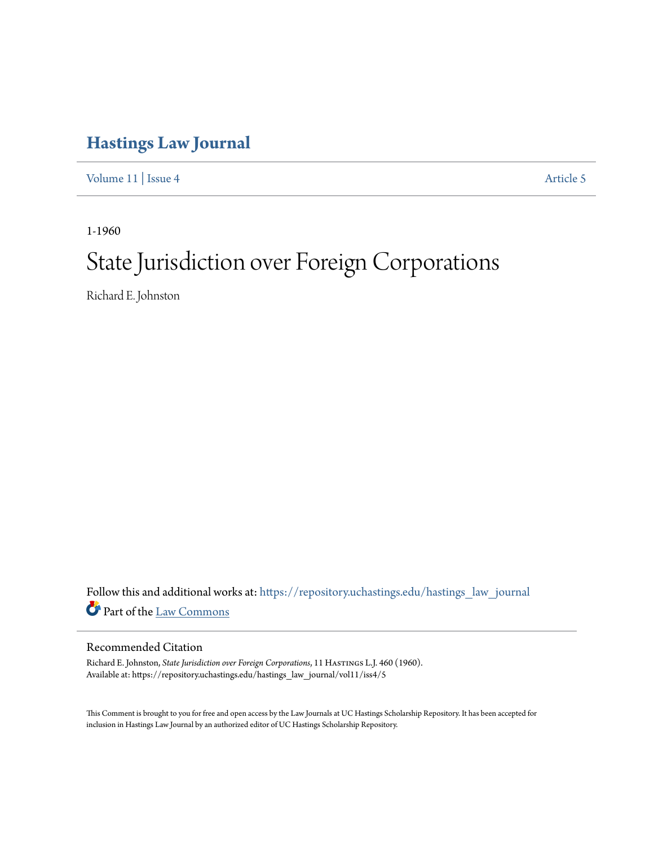## **[Hastings Law Journal](https://repository.uchastings.edu/hastings_law_journal?utm_source=repository.uchastings.edu%2Fhastings_law_journal%2Fvol11%2Fiss4%2F5&utm_medium=PDF&utm_campaign=PDFCoverPages)**

[Volume 11](https://repository.uchastings.edu/hastings_law_journal/vol11?utm_source=repository.uchastings.edu%2Fhastings_law_journal%2Fvol11%2Fiss4%2F5&utm_medium=PDF&utm_campaign=PDFCoverPages) | [Issue 4](https://repository.uchastings.edu/hastings_law_journal/vol11/iss4?utm_source=repository.uchastings.edu%2Fhastings_law_journal%2Fvol11%2Fiss4%2F5&utm_medium=PDF&utm_campaign=PDFCoverPages) [Article 5](https://repository.uchastings.edu/hastings_law_journal/vol11/iss4/5?utm_source=repository.uchastings.edu%2Fhastings_law_journal%2Fvol11%2Fiss4%2F5&utm_medium=PDF&utm_campaign=PDFCoverPages)

1-1960

# State Jurisdiction over Foreign Corporations

Richard E. Johnston

Follow this and additional works at: [https://repository.uchastings.edu/hastings\\_law\\_journal](https://repository.uchastings.edu/hastings_law_journal?utm_source=repository.uchastings.edu%2Fhastings_law_journal%2Fvol11%2Fiss4%2F5&utm_medium=PDF&utm_campaign=PDFCoverPages) Part of the [Law Commons](http://network.bepress.com/hgg/discipline/578?utm_source=repository.uchastings.edu%2Fhastings_law_journal%2Fvol11%2Fiss4%2F5&utm_medium=PDF&utm_campaign=PDFCoverPages)

#### Recommended Citation

Richard E. Johnston, *State Jurisdiction over Foreign Corporations*, 11 Hastings L.J. 460 (1960). Available at: https://repository.uchastings.edu/hastings\_law\_journal/vol11/iss4/5

This Comment is brought to you for free and open access by the Law Journals at UC Hastings Scholarship Repository. It has been accepted for inclusion in Hastings Law Journal by an authorized editor of UC Hastings Scholarship Repository.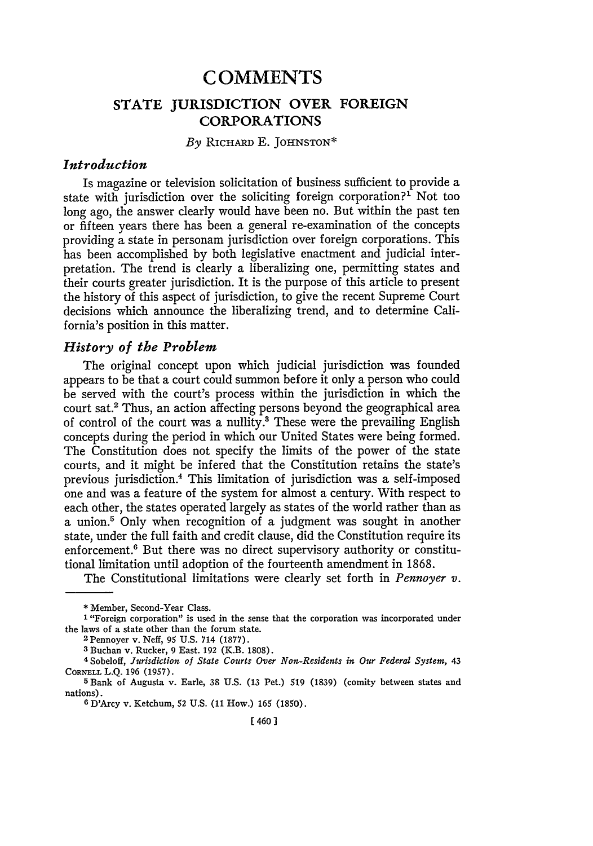### **C OMMENTS STATE IURISDICTION OVER FOREIGN** CORPORATIONS

#### *By* RICHARD E. **JOHNSTON\***

#### *Introduction*

Is magazine or television solicitation of business sufficient to provide a state with jurisdiction over the soliciting foreign corporation?' Not too long ago, the answer clearly would have been no. But within the past ten or fifteen years there has been a general re-examination of the concepts providing a state in personam jurisdiction over foreign corporations. This has been accomplished by both legislative enactment and judicial interpretation. The trend is clearly a liberalizing one, permitting states and their courts greater jurisdiction. It is the purpose of this article to present the history of this aspect of jurisdiction, to give the recent Supreme Court decisions which announce the liberalizing trend, and to determine California's position in this matter.

#### *History of the Problem*

The original concept upon which judicial jurisdiction was founded appears to be that a court could summon before it only a person who could be served with the court's process within the jurisdiction in which the court sat.<sup>2</sup> Thus, an action affecting persons beyond the geographical area of control of the court was a nullity.3 These were the prevailing English concepts during the period in which our United States were being formed. The Constitution does not specify the limits of the power of the state courts, and it might be infered that the Constitution retains the state's previous jurisdiction.4 This limitation of jurisdiction was a self-imposed one and was a feature of the system for almost a century. With respect to each other, the states operated largely as states of the world rather than as a union.5 Only when recognition of a judgment was sought in another state, under the full faith and credit clause, did the Constitution require its enforcement.<sup>6</sup> But there was no direct supervisory authority or constitutional limitation until adoption of the fourteenth amendment in 1868.

The Constitutional limitations were clearly set forth in *Pennoyer v.*

**3** Buchan v. Rucker, 9 East. 192 (K.B. 1808).

4 Sobeloff, *Jurisdiction of State Courts Over Non-Residents in Our Federal System,* 43 CORNELL **L.Q. 196 (1957).**

**5** Bank of Augusta v. Earle, **38 U.S.** (13 Pet.) **519 (1839)** (comity between states and nations).

**6** D'Arcy v. Ketchum, 52 U.S. (11 How.) 165 (1850).

**<sup>\*</sup>** Member, Second-Year Class.

**<sup>1</sup>** "Foreign corporation" is used in the sense that the corporation was incorporated under the laws of a state other than the forum state. <sup>2</sup> Pennoyer v. Neff, 95 U.S. 714 (1877).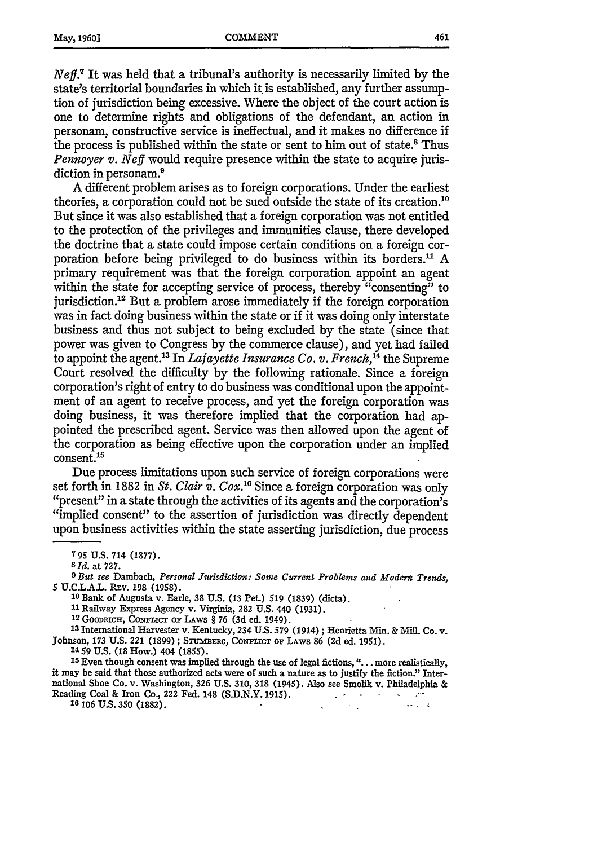*Neff.*<sup>7</sup> It was held that a tribunal's authority is necessarily limited by the state's territorial boundaries in which it is established, any further assumption of jurisdiction being excessive. Where the object of the court action is one to determine rights and obligations of the defendant, an action in personam, constructive service is ineffectual, and it makes no difference if the process is published within the state or sent to him out of state.<sup>8</sup> Thus *Pennoyer v. Neff* would require presence within the state to acquire jurisdiction in personam.<sup>9</sup>

A different problem arises as to foreign corporations. Under the earliest theories, a corporation could not be sued outside the state of its creation.<sup>16</sup> But since it was also established that a foreign corporation was not entitled to the protection of the privileges and immunities clause, there developed the doctrine that a state could impose certain conditions on a foreign corporation before being privileged to do business within its borders.<sup>11</sup> A primary requirement was that the foreign corporation appoint an agent within the state for accepting service of process, thereby "consenting" to jurisdiction.<sup>12</sup> But a problem arose immediately if the foreign corporation was in fact doing business within the state or if it was doing only interstate business and thus not subject to being excluded by the state (since that power was given to Congress by the commerce clause), and yet had failed to appoint the agent.<sup>13</sup> In *Lafayette Insurance Co. v. French*,<sup>14</sup> the Supreme Court resolved the difficulty by the following rationale. Since a foreign corporation's right of entry to do business was conditional upon the appointment of an agent to receive process, and yet the foreign corporation was doing business, it was therefore implied that the corporation had appointed the prescribed agent. Service was then allowed upon the agent of the corporation as being effective upon the corporation under an implied consent.<sup>15</sup>

Due process limitations upon such service of foreign corporations were set forth in 1882 in *St. Clair v. Cox*.<sup>16</sup> Since a foreign corporation was only "present" in a state through the activities of its agents and the corporation's "implied consent" to the assertion of jurisdiction was directly dependent upon business activities within the state asserting jurisdiction, due process

**9** *But see* Dambach, *Personal Jurisdiction: Some Current Problems and Modern Trends,* **5 U.C.LA.L. RFv.** 198 (1958).

**10** Bank **of** Augusta v. Earle, 38 **U.S.** (13 Pet.) 519 (1839) (dicta).

**<sup>11</sup>**Railway Express Agency **v.** Virginia, 282 **U.S.** 440 (1931).

**12 GooDRiCH, CoNFicT** oF **LAWS** § 76 (3d ed. 1949).

**<sup>13</sup>**International Harvester **v.** Kentucky, 234 **U.S. 579** (1914) **;** Henrietta Min. **&** Mill. Co. v.  $Johnson, 173 U.S. 221 (1899);$  STUMBERG, CONFLICT OF LAWS 86 (2d ed. 1951).

**14 59 U.S. (18** How.) **404 (1855).**

**<sup>15</sup>**Even though consent was implied through the use of legal fictions, **"...** more realistically, it may be said that those authorized acts were of such a nature as to justify the fiction." International Shoe Co. v. Washington, **326 U.S. 310, 318** (1945). Also see Smolik v. Philadelphia **&** Reading Coal **& Iron Co., 222** Fed. **148 (S.D)N.Y. 1915).**  $\sim 100$ **Contract Contract**  $\sim 10^{-10}$   $M_{\odot}$ 

**16 106 U.S. 350 (1882).**  $\mathcal{L}_{\mathcal{F}}(\mathcal{L})$  and

**<sup>795</sup> U.S.** 714 (1877).

*<sup>8</sup>* **Id.** at **727.**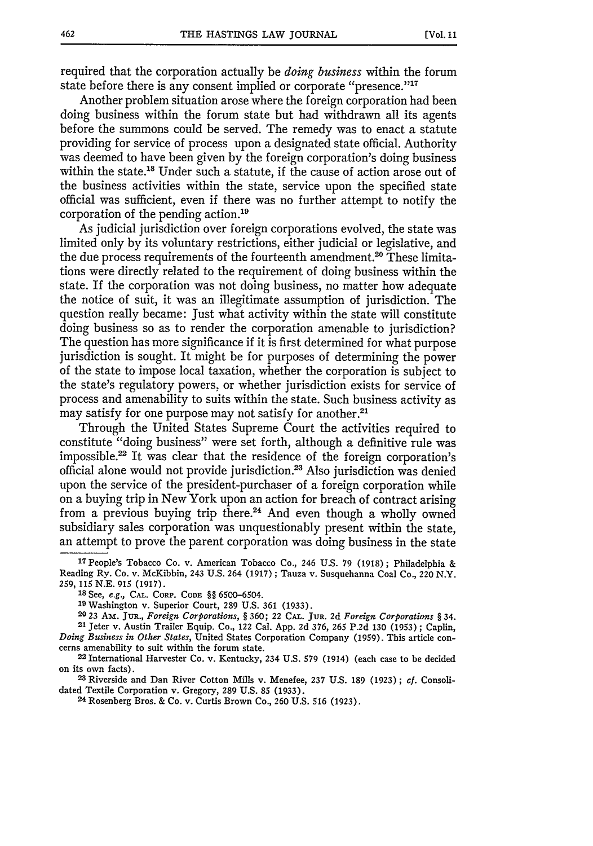required that the corporation actually be *doing business* within the forum state before there is any consent implied or corporate "presence."<sup>17</sup>

Another problem situation arose where the foreign corporation had been doing business within the forum state but had withdrawn all its agents before the summons could be served. The remedy was to enact a statute providing for service of process upon a designated state official. Authority was deemed to have been given by the foreign corporation's doing business within the state.<sup>18</sup> Under such a statute, if the cause of action arose out of the business activities within the state, service upon the specified state official was sufficient, even if there was no further attempt to notify the corporation of the pending action.<sup>19</sup>

As judicial jurisdiction over foreign corporations evolved, the state was limited only by its voluntary restrictions, either judicial or legislative, and the due process requirements of the fourteenth amendment.<sup>20</sup> These limitations were directly related to the requirement of doing business within the state. If the corporation was not doing business, no matter how adequate the notice of suit, it was an illegitimate assumption of jurisdiction. The question really became: Just what activity within the state will constitute doing business so as to render the corporation amenable to jurisdiction? The question has more significance if it is first determined for what purpose jurisdiction is sought. It might be for purposes of determining the power of the state to impose local taxation, whether the corporation is subject to the state's regulatory powers, or whether jurisdiction exists for service of process and amenability to suits within the state. Such business activity as may satisfy for one purpose may not satisfy for another.<sup>21</sup>

Through the United States Supreme Court the activities required to constitute "doing business" were set forth, although a definitive rule was impossible.<sup>22</sup> It was clear that the residence of the foreign corporation's official alone would not provide jurisdiction.<sup>23</sup> Also jurisdiction was denied upon the service of the president-purchaser of a foreign corporation while on a buying trip in New York upon an action for breach of contract arising from a previous buying trip there.<sup>24</sup> And even though a wholly owned subsidiary sales corporation was unquestionably present within the state, an attempt to prove the parent corporation was doing business in the state

*23* Riverside and Dan River Cotton **Mills** v. Menefee, **237 U.S. 189 (1923) ;** *cf.* **Consoli**dated Textile Corporation v. Gregory, **289 U.S. 85 (1933).**

**<sup>17</sup>**People's **Tobacco Co.** v. American **Tobacco** Co., 246 U.S. **79 (1918) ;** Philadelphia **&** Reading **Ry. Co.** v. McKibbin, 243 U.S. 264 **(1917);** Tauza v. Susquehanna Coal Co., **220** N.Y. **259, 115 N.E. 915 (1917).**

**<sup>18</sup>** See, *e.g.,* **CAL.** CORP. **CODE** §§ **6500-6504.**

**<sup>19</sup>**Washington v. Superior Court, **289 U.S. 361 (1933).**

**<sup>20 23</sup> Am. Jug.,** *Foreign Corporations, §* **360; 22 CA. JUR. 2d** *Foreign Corporations §* **34. 21** Jeter v. Austin Trailer Equip. Co., 122 Cal. **App. 2d 376, 265 P.2d 130 (1953);** Caplin, *Doing Business in Other States,* United States Corporation Company **(1959).** This article con-

cerns amenability to suit within the forum state. **<sup>22</sup>**International Harvester Co. v. Kentucky, 234 **U.S. 579** (1914) (each **case** to be decided on its own facts).

<sup>24</sup>Rosenberg Bros. **&** Co. v. Curtis Brown Co., **260 U.S. 516 (1923).**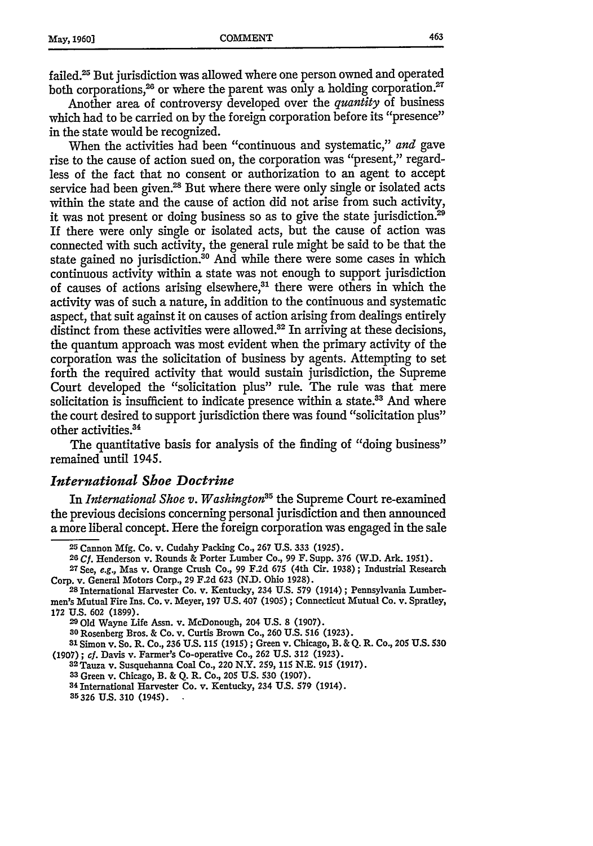failed.25 But jurisdiction was allowed where one person owned and operated both corporations,<sup>26</sup> or where the parent was only a holding corporation.<sup>27</sup>

Another area of controversy developed over the *quantity* of business which had to be carried on by the foreign corporation before its "presence" in the state would be recognized.

When the activities had been "continuous and systematic," *and* gave rise to the cause of action sued on, the corporation was "present," regardless of the fact that no consent or authorization to an agent to accept service had been given.<sup>28</sup> But where there were only single or isolated acts within the state and the cause of action did not arise from such activity, it was not present or doing business so as to give the state jurisdiction.<sup>29</sup> If there were only single or isolated acts, but the cause of action was connected with such activity, the general rule might be said to be that the state gained no jurisdiction.<sup>30</sup> And while there were some cases in which continuous activity within a state was not enough to support jurisdiction of causes of actions arising elsewhere,<sup>31</sup> there were others in which the activity was of such a nature, in addition to the continuous and systematic aspect, that suit against it on causes of action arising from dealings entirely distinct from these activities were allowed. $32$  In arriving at these decisions, the quantum approach was most evident when the primary activity of the corporation was the solicitation of business by agents. Attempting to set forth the required activity that would sustain jurisdiction, the Supreme Court developed the "solicitation plus" rule. The rule was that mere solicitation is insufficient to indicate presence within a state.<sup>33</sup> And where the court desired to support jurisdiction there was found "solicitation plus" other activities.<sup>34</sup>

The quantitative basis for analysis of the finding of "doing business" remained until 1945.

#### *International Shoe Doctrine*

In *International Shoe v. Washington*<sup>35</sup> the Supreme Court re-examined the previous decisions concerning personal jurisdiction and then announced a more liberal concept. Here the foreign corporation was engaged in the sale

**30** Rosenberg Bros. & Co. v. Curtis Brown Co., **260 U.S. 516 (1923).**

**<sup>31</sup>**Simon v. So. R. Co., **236 U.S. 115 (1915) ;** Green v. Chicago, B. & **Q.** R. Co., 205 **U.S. 530 (1907) ; cf.** Davis v. Farmer's Co-operative Co., **262 U.S. 312 (1923). <sup>3</sup> <sup>2</sup>**Tauza v. Susquehanna Coal Co., 220 N.Y. **259, 115** *N.E.* **915 (1917).**

**3Green** v. Chicago, B. & **Q.** R. Co., 205 **U.S. 530 (1907).**

**<sup>34</sup>**International Harvester Co. v. Kentucky, 234 **US. 579** (1914).

**35326 US. 310** (1945).

**<sup>25</sup>**Cannon Mfg. Co. v. Cudahy Packing Co., 267 **U.S.** 333 (1925).

**<sup>26</sup> Cf.** Henderson v. Rounds & Porter Lumber Co., 99 F. Supp. 376 (W.D. Ark. 1951). **<sup>27</sup>**See, e.g., Mas v. Orange Crush Co., 99 F.2d 675 (4th Cir. 1938) ; Industrial Research

<sup>28</sup> International Harvester Co. v. Kentucky, 234 U.S. 579 (1914) ; Pennsylvania Lumbermen's Mutual Fire Ins. Co. v. Meyer, 197 U.S. 407 (1905) ; Connecticut Mutual Co. v. Spratley, **172 U.S. 602 (1899). 29Old** Wayne Life Assn. v. McDonough, 204 **U.S. 8 (1907).**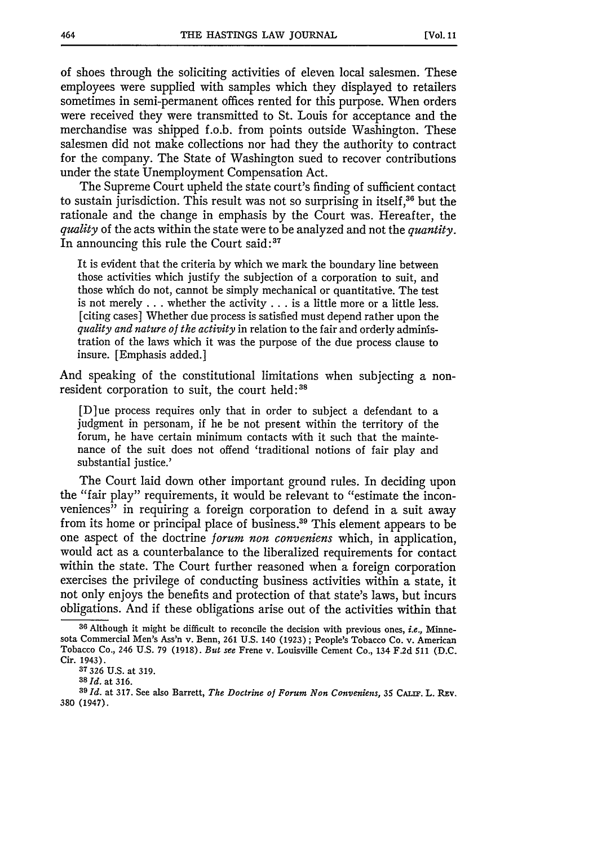of shoes through the soliciting activities of eleven local salesmen. These employees were supplied with samples which they displayed to retailers sometimes in semi-permanent offices rented for this purpose. When orders were received they were transmitted to St. Louis for acceptance and the merchandise was shipped f.o.b. from points outside Washington. These salesmen did not make collections nor had they the authority to contract for the company. The State of Washington sued to recover contributions under the state Unemployment Compensation Act.

The Supreme Court upheld the state court's finding of sufficient contact to sustain jurisdiction. This result was not so surprising in itself,<sup>36</sup> but the rationale and the change in emphasis by the Court was. Hereafter, the *quality* of the acts within the state were to be analyzed and not the *quantity.* In announcing this rule the Court said:<sup>37</sup>

It is evident that the criteria by which we mark the boundary line between those activities which justify the subjection of a corporation to suit, and those which do not, cannot be simply mechanical or quantitative. The test is not merely **...** whether the activity **...** is a little more or a little less. [citing cases] Whether due process is satisfied must depend rather upon the *quality and nature of the activity* in relation to the fair and orderly administration of the laws which it was the purpose of the due process clause to insure. [Emphasis added.]

And speaking of the constitutional limitations when subjecting a nonresident corporation to suit, the court held:<sup>38</sup>

[D]ue process requires only that in order to subject a defendant to a judgment in personam, if he be not present within the territory of the forum, he have certain minimum contacts With it such that the maintenance of the suit does not offend 'traditional notions of fair play and substantial justice.'

The Court laid down other important ground rules. In deciding upon the "fair play" requirements, it would be relevant to "estimate the inconveniences" in requiring a foreign corporation to defend in a suit away from its home or principal place of business.<sup>39</sup> This element appears to be one aspect of the doctrine *forum non conveniens* which, in application, would act as a counterbalance to the liberalized requirements for contact within the state. The Court further reasoned when a foreign corporation exercises the privilege of conducting business activities within a state, it not only enjoys the benefits and protection of that state's laws, but incurs obligations. And if these obligations arise out of the activities within that

**<sup>36</sup>** Although **it might** be difficult **to** reconcile **the** decision with previous **ones,** i.e., Minnesota Commercial Men's Ass'n v. Benn, **261** U.S. 140 **(1923);** People's Tobacco Co. v. American Tobacco Co., **246 U.S. 79 (1918).** *But see* Frene v. Louisville Cement Co., 134 **F.2d 511 (D.C.** Cir. 1943).

**<sup>37326</sup> U.S.** at 319.

*<sup>38</sup> Id.* at **316. <sup>3</sup> <sup>9</sup>***Id.* at **317.** See also Barrett, *The Doctrine of Forum Non Conveniens,* **35** *CALiF.* L. **REv. 380** (1947).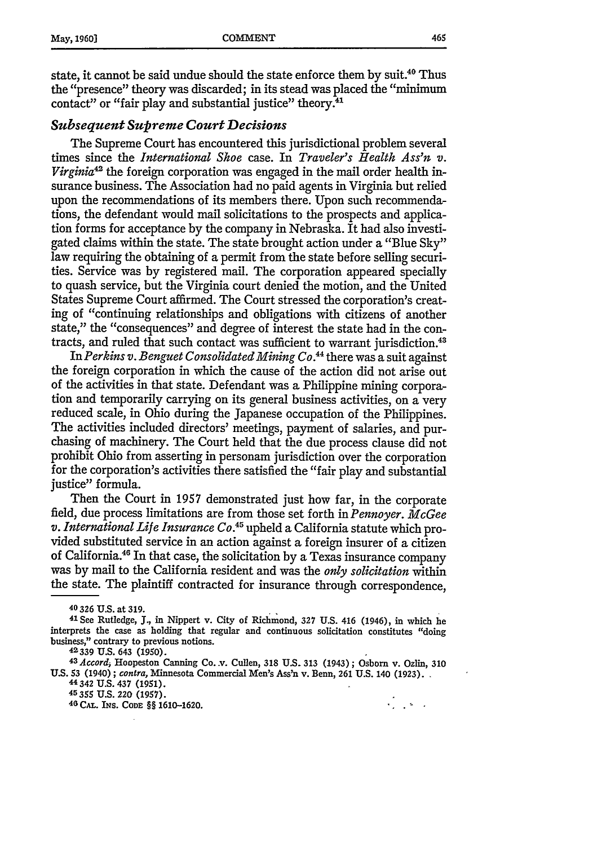state, it cannot be said undue should the state enforce them **by** suit.40 Thus the "presence" theory was discarded; in its stead was placed the "minimum contact" or "fair play and substantial justice" theory.<sup>41</sup>

#### *Subsequent Supreme Court Decisions*

The Supreme Court has encountered this jurisdictional problem several times since the *International Shoe* case. In *Traveler's Health Ass'n v. Virginia*<sup>42</sup> the foreign corporation was engaged in the mail order health insurance business. The Association had no paid agents in Virginia but relied upon the recommendations of its members there. Upon such recommendations, the defendant would mail solicitations to the prospects and application forms for acceptance by the company in Nebraska. It had also investigated claims within the state. The state brought action under a "Blue Sky" law requiring the obtaining of a permit from the state before selling securities. Service was by registered mail. The corporation appeared specially to quash service, but the Virginia court denied the motion, and the United States Supreme Court affirmed. The Court stressed the corporation's creating of "continuing relationships and obligations with citizens of another state," the "consequences" and degree of interest the state had in the contracts, and ruled that such contact was sufficient to warrant jurisdiction.<sup>43</sup>

In *Perkins v. Benguet Consolidated Mining Co.44* there was a suit against the foreign corporation in which the cause of the action did not arise out of the activities in that state. Defendant was a Philippine mining corporation and temporarily carrying on its general business activities, on a very reduced scale, in Ohio during the Japanese occupation of the Philippines. The activities included directors' meetings, payment of salaries, and purchasing of machinery. The Court held that the due process clause did not prohibit Ohio from asserting in personam jurisdiction over the corporation for the corporation's activities there satisfied the "fair play and substantial justice" formula.

Then the Court in 1957 demonstrated just how far, in the corporate field, due process limitations are from those set forth in *Pennoyer. McGee v. International Life Insurance Co.<sup>45</sup>*upheld a California statute which provided substituted service in an action against a foreign insurer of a citizen of California. 6 In that case, the solicitation **by** a Texas insurance company was by mail to the California resident and was the *only solicitation* within the state. The plaintiff contracted for insurance through correspondence,

**<sup>41</sup>**See Rutledge, J., **in Nippert v. City of** Richmond, **327 U.S.** 416 (1946), **in which** he interprets the case as holding that regular and continuous solicitation constitutes "doing **business," contrary to previous notions.**

**42339 U.S. 643 (1950).**

*43Accordi* **Hoopeston Canning Co..v. Cullen, 318 US. 313 (1943); Osborn v. Ozlin, 310 U.S. 53 (1940);** *contra,* **Minnesota Commercial Men's Ass'n v. Benn, 261 U.S. 140 (1923).**

**44 342 U.S. 437 (1951). 45355 U.S. 220 (1957).** <sup>4</sup>

0 **CAL. INS. ConE** §§ **1610-1620.**

**Contract** 

<sup>40</sup> **326** U.S. **at 319.**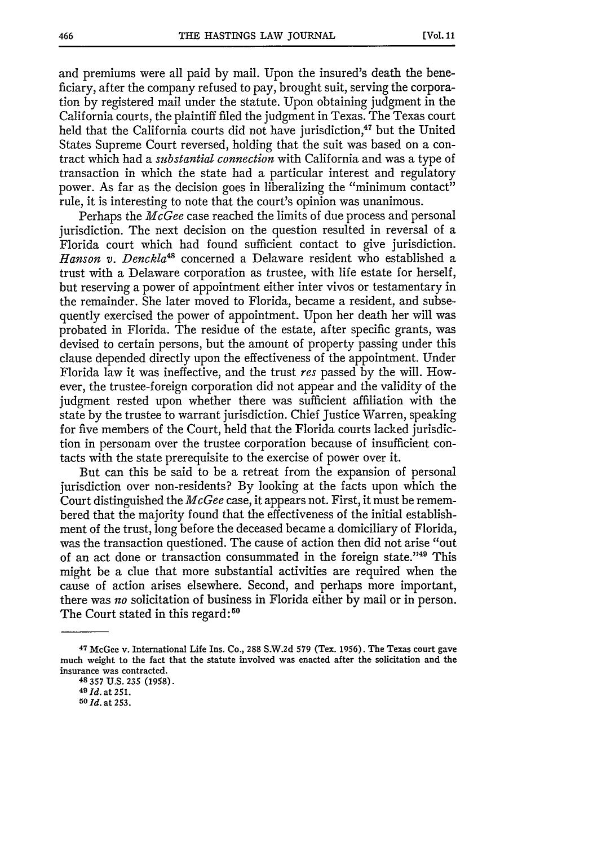and premiums were all paid by mail. Upon the insured's death the beneficiary, after the company refused to pay, brought suit, serving the corporation by registered mail under the statute. Upon obtaining judgment in the California courts, the plaintiff filed the judgment in Texas. The Texas court held that the California courts did not have jurisdiction,<sup>47</sup> but the United States Supreme Court reversed, holding that the suit was based on a contract which had a *substantial connection* with California and was a type of transaction in which the state had a particular interest and regulatory power. As far as the decision goes in liberalizing the "minimum contact" rule, it is interesting to note that the court's opinion was unanimous.

Perhaps the *McGee* case reached the limits of due process and personal jurisdiction. The next decision on the question resulted in reversal of a Florida court which had found sufficient contact to give jurisdiction. Hanson v. Denckla<sup>48</sup> concerned a Delaware resident who established a trust with a Delaware corporation as trustee, with life estate for herself, but reserving a power of appointment either inter vivos or testamentary in the remainder. She later moved to Florida, became a resident, and subsequently exercised the power of appointment. Upon her death her will was probated in Florida. The residue of the estate, after specific grants, was devised to certain persons, but the amount of property passing under this clause depended directly upon the effectiveness of the appointment. Under Florida law it was ineffective, and the trust *res* passed by the will. However, the trustee-foreign corporation did not appear and the validity of the judgment rested upon whether there was sufficient affiliation with the state by the trustee to warrant jurisdiction. Chief Justice Warren, speaking for five members of the Court, held that the Florida courts lacked jurisdiction in personam over the trustee corporation because of insufficient contacts with the state prerequisite to the exercise of power over it.

But can this be said to be a retreat from the expansion of personal jurisdiction over non-residents? By looking at the facts upon which the Court distinguished the *McGee* case, it appears not. First, it must be remembered that the majority found that the effectiveness of the initial establishment of the trust, long before the deceased became a domiciliary of Florida, was the transaction questioned. The cause of action then did not arise "out of an act done or transaction consummated in the foreign state."49 This might be a clue that more substantial activities are required when the cause of action arises elsewhere. Second, and perhaps more important, there was *no* solicitation of business in Florida either by mail or in person. The Court stated in this regard:<sup>50</sup>

**<sup>47</sup>McGee v. International Life Ins. Co., 288 S.W.2d 579 (Tex. 1956). The Texas court gave** much weight **to the** fact that the statute involved **was enacted after** the solicitation and the **insurance was contracted.**

**<sup>48 357</sup>** U.S. **235 (1958).**

**<sup>49</sup>***Id.* at **251.** *<sup>5</sup> <sup>0</sup>* **Id. at 253.**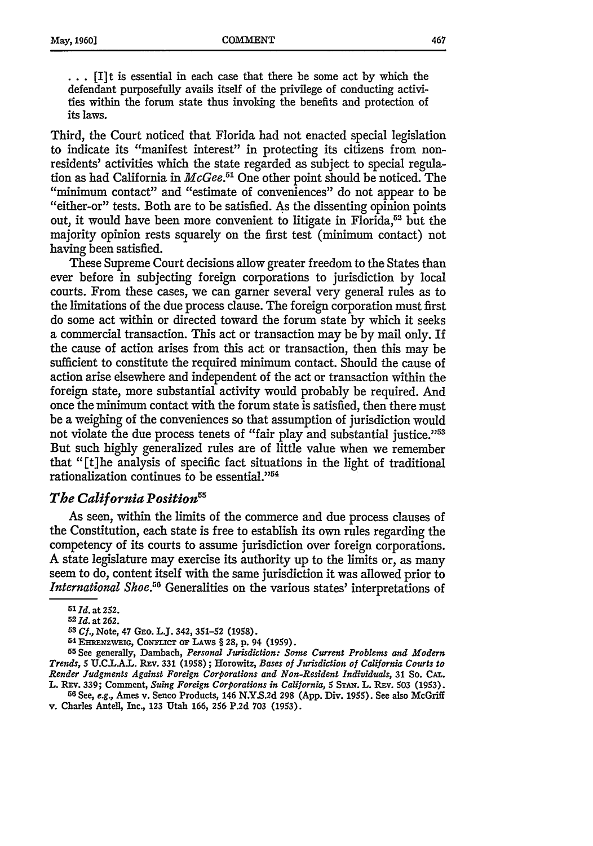**• • • [I] t** is essential in each case that there be some act by which the defendant purposefully avails itself of the privilege of conducting activities within the forum state thus invoking the benefits and protection of its laws.

Third, the Court noticed that Florida had not enacted special legislation to indicate its "manifest interest" in protecting its citizens from nonresidents' activities which the state regarded as subject to special regulation as had California in *McGee*.<sup>51</sup> One other point should be noticed. The "minimum contact" and "estimate of conveniences" do not appear to be "either-or" tests. Both are to be satisfied. As the dissenting opinion points out, it would have been more convenient to litigate in Florida,<sup>52</sup> but the majority opinion rests squarely on the first test (minimum contact) not having been satisfied.

These Supreme Court decisions allow greater freedom to the States than ever before in subjecting foreign corporations to jurisdiction by local courts. From these cases, we can garner several very general rules as to the limitations of the due process clause. The foreign corporation must first do some act within or directed toward the forum state by which it seeks a commercial transaction. This act or transaction may be by mail only. If the cause of action arises from this act or transaction, then this may be sufficient to constitute the required minimum contact. Should the cause of action arise elsewhere and independent of the act or transaction within the foreign state, more substantial activity would probably be required. And once the minimum contact with the forum state is satisfied, then there must be a weighing of the conveniences so that assumption of jurisdiction would not violate the due process tenets of "fair play and substantial justice."<sup>53</sup> But such highly generalized rules are of little value when we remember that "[t]he analysis of specific fact situations in the light of traditional rationalization continues to be essential."<sup>54</sup>

#### *The California Position5*

As seen, within the limits of the commerce and due process clauses of the Constitution, each state is free to establish its own rules regarding the competency of its courts to assume jurisdiction over foreign corporations. A state legislature may exercise its authority up to the limits or, as many seem to do, content itself with the same jurisdiction it was allowed prior to *International Shoe.*<sup>56</sup> Generalities on the various states' interpretations of

*53 Cf.,* **Note, 47 GEo. LJ. 342, 351-52 (1958). <sup>54</sup>**E=NzwEIG, **ColN'ucT** oF **LAws** § **28, p.** 94 **(1959).**

**<sup>55</sup>**See generally, Dambach, *Personal Jurisdiction: Some Current Problems and Modern Trends,* **5 U.CLA.L. REv. 331 (1958);** Horowitz, *Bases of Jurisdiction of California Courts to Render Judgments Against Foreign Corporations and Non-Resident Individuals,* **31 So.** *CAL.*

L. REV. 339; Comment, Suing Foreign Corporations in California, 5 STAN. L. REV. 503 (1953).<br><sup>56</sup> See, e.g., Ames v. Senco Products, 146 N.Y.S.2d 298 (App. Div. 1955). See also McGriff **v.** Charles Antell, Inc., **123** Utah **166, 256 P.2d 703 (1953).**

**<sup>51</sup>***Id.* at **252.**

**<sup>52</sup> Id.** at **262.**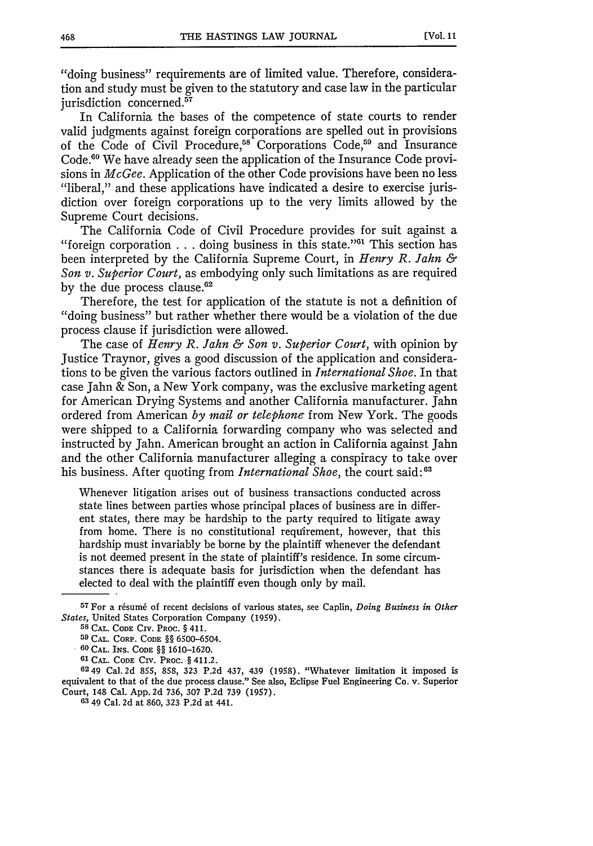"doing business" requirements are of limited value. Therefore, consideration and study must be given to the statutory and case law in the particular jurisdiction concerned.<sup>57</sup>

In California the bases of the competence of state courts to render valid judgments against foreign corporations are spelled out in provisions of the Code of Civil Procedure,<sup>58</sup> Corporations Code,<sup>59</sup> and Insurance Code.<sup>60</sup> We have already seen the application of the Insurance Code provisions in *McGee.* Application of the other Code provisions have been no less "liberal," and these applications have indicated a desire to exercise jurisdiction over foreign corporations up to the very limits allowed by the Supreme Court decisions.

The California Code of Civil Procedure provides for suit against a "foreign corporation  $\dots$  doing business in this state."<sup>61</sup> This section has been interpreted by the California Supreme Court, in *Henry R. Jahn & Son v. Superior Court,* as embodying only such limitations as are required by the due process clause.<sup>62</sup>

Therefore, the test for application of the statute is not a definition of "doing business" but rather whether there would be a violation of the due process clause if jurisdiction were allowed.

The case of *Henry R. Jahn & Son v. Superior Court,* with opinion by Justice Traynor, gives a good discussion of the application and considerations to be given the various factors outlined in *International Shoe.* In that case Jahn & Son, a New York company, was the exclusive marketing agent for American Drying Systems and another California manufacturer. Jahn ordered from American by *mail or telephone* from New York. The goods were shipped to a California forwarding company who was selected and instructed by Jahn. American brought an action in California against Jahn and the other California manufacturer alleging a conspiracy to take over his business. After quoting from *International Shoe,* the court said: **<sup>63</sup>**

Whenever litigation arises out of business transactions conducted across state lines between parties whose principal places of business are in different states, there may be hardship to the party required to litigate away from home. There is no constitutional requirement, however, that this hardship must invariably be borne by the plaintiff whenever the defendant is not deemed present in the state of plaintiff's residence. In some circumstances there is adequate basis for jurisdiction when the defendant has elected to deal with the plaintiff even though only by mail.

<sup>&</sup>lt;sup>57</sup> For a résumé of recent decisions of various states, see Caplin, *Doing Business in Other States,* United States Corporation Company **(1959). 58 CAL. CODE CIv.** PROC. § **411.**

**<sup>59</sup> CAL.** CORP. **CODE** §§ **6500-6504.**

**<sup>60</sup> CAL.** INS. **CODE** §§ **1610-1620.**

**<sup>61</sup> CAL. CODE CiV. PROC.** § 411.2.

<sup>6249</sup> Cal. 2d **855, 858, 323 P.2d** 437, 439 **(1958).** "Whatever limitation it imposed is equivalent to that of the due process clause." See also, Eclipse Fuel Engineering Co. v. Superior Court, 148 Cal. **App. 2d 736, 307 P.2d 739 (1957).**

**<sup>63</sup>** 49 Cal. **2d** at **860, 323 P.2d** at 441.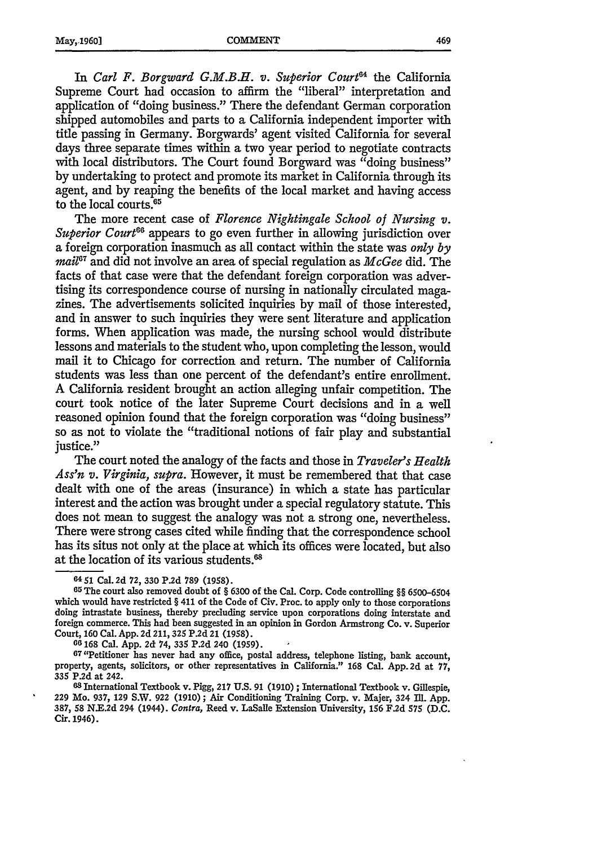In *Carl F. Borgward G.M.B.H. v. Superior Court64* the California Supreme Court had occasion to affirm the "liberal" interpretation and application of "doing business." There the defendant German corporation shipped automobiles and parts to a California independent importer with title passing in Germany. Borgwards' agent visited California for several days three separate times within a two year period to negotiate contracts with local distributors. The Court found Borgward was "doing business" **by** undertaking to protect and promote its market in California through its agent, and by reaping the benefits of the local market and having access to the local courts.<sup>65</sup>

The more recent case of *Florence Nightingale School of Nursing v. Superior Court66* appears to go even further in allowing jurisdiction over a foreign corporation inasmuch as all contact within the state was *only by* mail<sup>67</sup> and did not involve an area of special regulation as *McGee* did. The facts of that case were that the defendant foreign corporation was advertising its correspondence course of nursing in nationally circulated magazines. The advertisements solicited inquiries by mail of those interested, and in answer to such inquiries they were sent literature and application forms. When application was made, the nursing school would distribute lessons and materials to the student who, upon completing the lesson, would mail it to Chicago for correction and return. The number of California students was less than one percent of the defendant's entire enrollment. A California resident brought an action alleging unfair competition. The court took notice of the later Supreme Court decisions and in a well reasoned opinion found that the foreign corporation was "doing business" so as not to violate the "traditional notions of fair play and substantial justice."

The court noted the analogy of the facts and those in *Traveler's Health Ass'n v. Virginia, supra.* However, it must be remembered that that case dealt with one of the areas (insurance) in which a state has particular interest and the action was brought under a special regulatory statute. This does not mean to suggest the analogy was not a strong one, nevertheless. There were strong cases cited while finding that the correspondence school has its situs not only at the place at which its offices were located, but also at the location of its various students.<sup>68</sup>

Court, 160 Cal. App. 2d 211, 325 P.2d 21 (1958).<br><sup>66</sup> 168 Cal. App. 2d 74, 335 P.2d 240 (1959).<br><sup>67</sup> 'Petitioner has never had any office, postal address, telephone listing, bank account, property, agents, solicitors, or other representatives in California." 168 Cal. App. 2d at 77, 335 P.2d at 242. **<sup>68</sup>**International Textbook v. Pigg, 217 U.S. 91 (1910) **;** International Textbook v. Gillespie,

229 Mo. 937, 129 S.W. 922 (1910) ; Air Conditioning Training Corp. v. Majer, 324 Ill. App. 387, 58 N.E.2d 294 (1944). Contra, Reed v. LaSalle Extension University, 156 F.2d 575 (D.C. Cir. 1946).

**<sup>64 51</sup>** Cal. 2d 72, 330 P.2d 789 (1958).

**<sup>65</sup>** The court also removed doubt of § 6300 of the Cal. Corp. Code controlling §§ 6500-6504 which would have restricted § 411 of the Code of Civ. Proc. to apply only to those corporations doing intrastate business, thereby precluding service upon corporations doing interstate and foreign commerce. This had been suggested in an opinion in Gordon Armstrong Co. v. Superior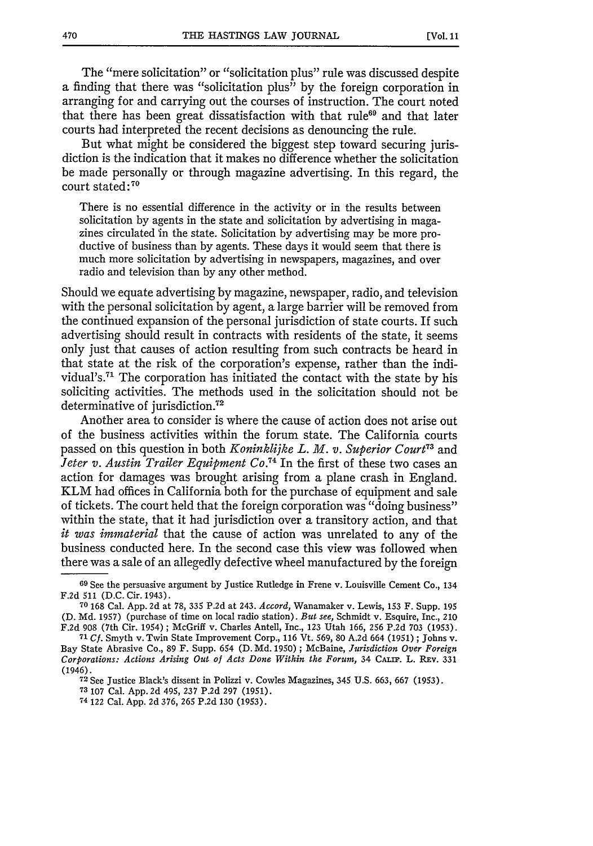The "mere solicitation" or "solicitation plus" rule was discussed despite a finding that there was "solicitation plus" by the foreign corporation in arranging for and carrying out the courses of instruction. The court noted that there has been great dissatisfaction with that rule<sup>69</sup> and that later courts had interpreted the recent decisions as denouncing the rule.

But what might be considered the biggest step toward securing jurisdiction is the indication that it makes no difference whether the solicitation be made personally or through magazine advertising. In this regard, the court stated **:70**

There is no essential difference in the activity or in the results between solicitation by agents in the state and solicitation by advertising in magazines circulated in the state. Solicitation by advertising may be more productive of business than by agents. These days it would seem that there is much more solicitation by advertising in newspapers, magazines, and over radio and television than by any other method.

Should we equate advertising by magazine, newspaper, radio, and television with the personal solicitation by agent, a large barrier will be removed from the continued expansion of the personal jurisdiction of state courts. If such advertising should result in contracts with residents of the state, it seems only just that causes of action resulting from such contracts be heard in that state at the risk of the corporation's expense, rather than the individual's.<sup>71</sup> The corporation has initiated the contact with the state by his soliciting activities. The methods used in the solicitation should not be determinative of jurisdiction.<sup>72</sup>

Another area to consider is where the cause of action does not arise out of the business activities within the forum state. The California courts passed on this question in both *Koninklijke L. M. v. Superior Court73* and *Jeter v. Austin Trailer Equipment Co.74* In the first of these two cases an action for damages was brought arising from a plane crash in England. KLM had offices in California both for the purchase of equipment and sale of tickets. The court held that the foreign corporation was "doing business" within the state, that it had jurisdiction over a transitory action, and that *it was immaterial* that the cause of action was unrelated to any of the business conducted here. In the second case this view was followed when there was a sale of an allegedly defective wheel manufactured by the foreign

74 122 Cal. **App. 2d 376, 265 P.2d 130 (1953).**

**<sup>69</sup>** See the persuasive argument **by** Justice Rutledge in Frene v. Louisville Cement Co., 134 **F.2d 511 (D.C.** Cir. 1943). **70 168** Cal. **App. 2d** at **78, 335 P.2d** at 243. *Accord,* Wanamaker v. Lewis, **153** F. Supp. **<sup>195</sup>**

**<sup>(</sup>D. Md. 1957)** (purchase of time on local radio station). *But see,* Schmidt v. Esquire, Inc., 210 **F.2d 908** (7th Cir. 1954) **;** McGriff v. Charles Antell, Inc., **123** Utah **166, 256 P.2d 703 (1953).**

**<sup>71</sup>** *Cf.* Smyth v. Twin State Improvement Corp., **116** Vt. **569, 80 A.2d** 664 **(1951) ;** Johns v. Bay State Abrasive Co., **89** F. Supp. 654 **(D. Md. 1950) ;** McBaine, *Jurisdiction Over Foreign Corporations: Actions Arising Out of Acts Done Within the Forum, 34 CALIF. L. REV. 331* (1946).

**<sup>72</sup>**See Justice Black's dissent in Polizzi v. Cowles Magazines, 345 **U.S. 663, 667 (1953).**

**<sup>73 107</sup>** Cal. **App. 2d** 495, **237 P.2d 297 (1951).**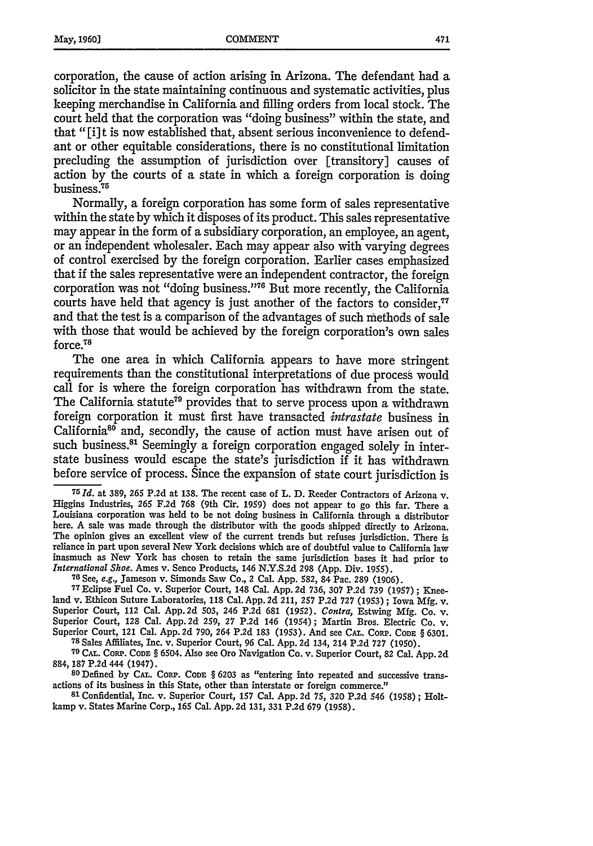corporation, the cause of action arising in Arizona. The defendant had a solicitor in the state maintaining continuous and systematic activities, plus keeping merchandise in California and filling orders from local stock. The court held that the corporation was "doing business" within the state, and that "[i] t is now established that, absent serious inconvenience to defendant or other equitable considerations, there is no constitutional limitation precluding the assumption of jurisdiction over [transitory] causes of action by the courts of a state in which a foreign corporation is doing **75** business **.**

Normally, a foreign corporation has some form of sales representative within the state by which it disposes of its product. This sales representative may appear in the form of a subsidiary corporation, an employee, an agent, or an independent wholesaler. Each may appear also with varying degrees of control exercised by the foreign corporation. Earlier cases emphasized that if the sales representative were an independent contractor, the foreign corporation was not "doing business."<sup>76</sup> But more recently, the California courts have held that agency is just another of the factors to consider.<sup>77</sup> and that the test is a comparison of the advantages of such methods of sale with those that would be achieved by the foreign corporation's own sales force.78

The one area in which California appears to have more stringent requirements than the constitutional interpretations of due process would call for is where the foreign corporation has withdrawn from the state. The California statute<sup>79</sup> provides that to serve process upon a withdrawn foreign corporation it must first have transacted *intrastate* business in California<sup>86</sup> and, secondly, the cause of action must have arisen out of such business.<sup>81</sup> Seemingly a foreign corporation engaged solely in interstate business would escape the state's jurisdiction if it has withdrawn before service of process. Since the expansion of state court jurisdiction is

**<sup>7</sup> <sup>5</sup>Id. at 389, 265 P.2d** at **138.** The recent **case** of **L. D.** Reeder Contractors of Arizona v. Higgins Industries, **265 F.2d 768 (9th Cir. 1959)** does not appear to go this far. There **a** Louisiana corporation was held to **he** not doing business in California through a distributor here. A sale was made through the distributor with the goods shipped directly to Arizona. The opinion gives an excellent view of the current trends but refuses jurisdiction. There is reliance in part upon several New York decisions which are of doubtful value to California law inasmuch as New York has chosen to retain the same jurisdiction bases it had prior to *International Shoe.* Ames v. Senco Products, 146 **N.Y.S.2d 298 (App.** Div. **1955).**

76 See, e.g., Jameson v. Simonds Saw Co., 2 Cal. App. 582, 84 Pac. 289 (1906).<br>77 Eclipse Fuel Co. v. Superior Court, 148 Cal. App. 2d 736, 307 P.2d 739 (1957); Kneeland v. Ethicon Suture Laboratories, **118** Cal.App. **2d** 211, **257** P.2d **727** (1953) **;** Iowa Mfg. v. Superior Court, 112 Cal. App. **2d** 503, 246 P.2d **681** (1952). *Contra,* Estwing Mfg. Co. v. Superior Court, 128 Cal. App.2d **259,** 27 P.2d 146 (1954); Martin Bros. Electric Co. v. Superior Court, 121 Cal. App. **2d** 790, 264 P.2d 183 (1953). And see **CAT.** CORP. **CODE** § 6301. **<sup>78</sup>**Sales Affiliates, Inc. v. Superior Court, **96** Cal. App. **2d** 134, 214 P.2d **727** (1950).

**79 CA..** CORP. **CODE** § 6504. Also see Oro Navigation Co. v. Superior Court, 82 Cal. App. 2d 884, **187** P.2d 444 (1947). **<sup>80</sup>**Defined **by CAL.** CORP. **CODE** § **6203** as "entering into repeated and successive trans-

actions of its business in this State, other than interstate or foreign commerce."

**81** Confidential, Inc. v. Superior Court, **157** Cal. App. 2d **75,** 320 P.2d 546 (1958) **;** Holtkamp v. States Marine Corp., **165** Cal. App. 2d **131,** 331 P.2d **679** (1958).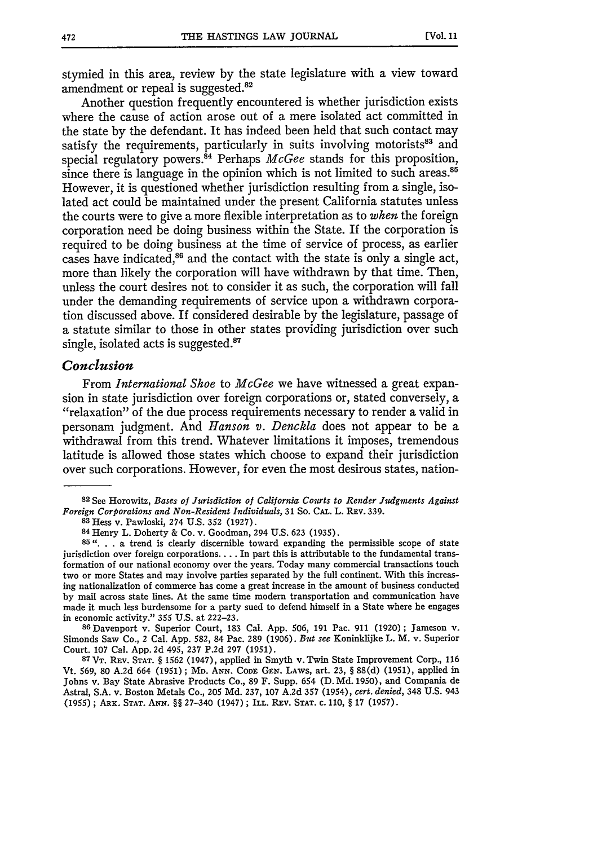stymied in this area, review by the state legislature with a view toward amendment or repeal is suggested.<sup>82</sup>

Another question frequently encountered is whether jurisdiction exists where the cause of action arose out of a mere isolated act committed in the state by the defendant. It has indeed been held that such contact may satisfy the requirements, particularly in suits involving motorists<sup>83</sup> and special regulatory powers. 84 Perhaps *McGee* stands for this proposition, since there is language in the opinion which is not limited to such areas.<sup>85</sup> However, it is questioned whether jurisdiction resulting from a single, isolated act could be maintained under the present California statutes unless the courts were to give a more flexible interpretation as to *when* the foreign corporation need be doing business within the State. If the corporation is required to be doing business at the time of service of process, as earlier cases have indicated,<sup>86</sup> and the contact with the state is only a single act, more than likely the corporation will have withdrawn by that time. Then, unless the court desires not to consider it as such, the corporation will fall under the demanding requirements of service upon a withdrawn corporation discussed above. If considered desirable by the legislature, passage of a statute similar to those in other states providing jurisdiction over such single, isolated acts is suggested.<sup>87</sup>

#### *Conclusion*

From *International Shoe* to *McGee* we have witnessed a great expansion in state jurisdiction over foreign corporations or, stated conversely, a "relaxation" of the due process requirements necessary to render a valid in personam judgment. And *Hanson v. Denckla* does not appear to be a withdrawal from this trend. Whatever limitations it imposes, tremendous latitude is allowed those states which choose to expand their jurisdiction over such corporations. However, for even the most desirous states, nation-

**<sup>86</sup>**Davenport v. Superior Court, 183 Cal. App. 506, 191 Pac. 911 (1920) ; Jameson v. Simonds Saw Co., 2 Cal. App. 582, 84 Pac. 289 (1906). *But see* Koninklijke L. M. v. Superior Court. 107 Cal. App. 2d 495, 237 P.2d 297 (1951).

87 VT. REV. STAT. § 1562 (1947), applied in Smyth v. Twin State Improvement Corp., 116 Vt. 569, 80 A.2d 664 (1951); MD. **ANN.** CODE **GEN.** LAWS, art. **23,** § 88(d) (1951), applied in Johns v. Bay State Abrasive Products Co., 89 F. Supp. 654 (D. Md. 1950), and Compania de Astral, S.A. v. Boston Metals Co., 205 Md. 237, 107 A.2d **357** (1954), *cert. denied,* 348 U.S. 943 **(1955);** ARx. **STAT. ANN.** §§ 27-340 (1947); ILL. **REV. STAT.** c. 110, § 17 (1957).

**<sup>82</sup>**See Horowitz, *Bases of Jurisdiction of California Cour ts to Render Judgments Against Foreign Corporations and Non-Resident Individuals,* 31 So. CAL.. L. REV. 339. **<sup>8</sup> <sup>3</sup>**Hess v. Pawloski, 274 U.S. **352** (1927).

**<sup>84</sup>**Henry L. Doherty & Co. v. Goodman, 294 U.S. 623 (1935).

**<sup>85</sup>". .** . a trend is clearly discernible toward expanding the permissible scope of state jurisdiction over foreign corporations.... In part this is attributable to the fundamental transformation of our national economy over the years. Today many commercial transactions touch two or more States and may involve parties separated by the full continent. With this increasing nationalization of commerce has come a great increase in the amount of business conducted by mail across state lines. At the same time modern transportation and communication have made it much less burdensome for a party sued to defend himself in a State where he engages in economic activity." 355 U.S. at 222-23.